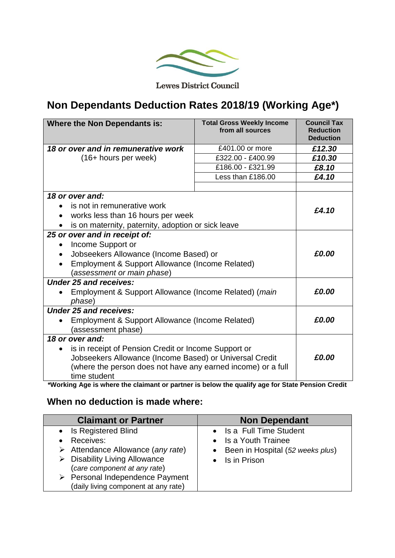

**Lewes District Council** 

## **Non Dependants Deduction Rates 2018/19 (Working Age\*)**

| <b>Where the Non Dependants is:</b>                                                                                                                                                                          | <b>Total Gross Weekly Income</b><br>from all sources | <b>Council Tax</b><br><b>Reduction</b><br><b>Deduction</b> |
|--------------------------------------------------------------------------------------------------------------------------------------------------------------------------------------------------------------|------------------------------------------------------|------------------------------------------------------------|
| 18 or over and in remunerative work<br>(16+ hours per week)                                                                                                                                                  | £401.00 or more                                      | £12.30                                                     |
|                                                                                                                                                                                                              | £322.00 - £400.99                                    | £10.30                                                     |
|                                                                                                                                                                                                              | £186.00 - £321.99                                    | £8.10                                                      |
|                                                                                                                                                                                                              | Less than £186.00                                    | £4.10                                                      |
|                                                                                                                                                                                                              |                                                      |                                                            |
| 18 or over and:                                                                                                                                                                                              |                                                      |                                                            |
| is not in remunerative work                                                                                                                                                                                  |                                                      |                                                            |
| works less than 16 hours per week                                                                                                                                                                            |                                                      | £4.10                                                      |
| is on maternity, paternity, adoption or sick leave                                                                                                                                                           |                                                      |                                                            |
| 25 or over and in receipt of:                                                                                                                                                                                |                                                      |                                                            |
| Income Support or                                                                                                                                                                                            |                                                      |                                                            |
| Jobseekers Allowance (Income Based) or                                                                                                                                                                       |                                                      | £0.00                                                      |
| Employment & Support Allowance (Income Related)                                                                                                                                                              |                                                      |                                                            |
| (assessment or main phase)                                                                                                                                                                                   |                                                      |                                                            |
| <b>Under 25 and receives:</b>                                                                                                                                                                                |                                                      |                                                            |
| Employment & Support Allowance (Income Related) (main                                                                                                                                                        |                                                      | £0.00                                                      |
| phase)                                                                                                                                                                                                       |                                                      |                                                            |
| <b>Under 25 and receives:</b>                                                                                                                                                                                |                                                      |                                                            |
| Employment & Support Allowance (Income Related)                                                                                                                                                              |                                                      | £0.00                                                      |
| (assessment phase)                                                                                                                                                                                           |                                                      |                                                            |
| 18 or over and:                                                                                                                                                                                              |                                                      |                                                            |
| is in receipt of Pension Credit or Income Support or<br>$\bullet$<br>Jobseekers Allowance (Income Based) or Universal Credit<br>(where the person does not have any earned income) or a full<br>time student |                                                      | £0.00                                                      |

**\*Working Age is where the claimant or partner is below the qualify age for State Pension Credit**

## **When no deduction is made where:**

| <b>Claimant or Partner</b>                                                                                                                                                                                                                                                    | <b>Non Dependant</b>                                                                                             |
|-------------------------------------------------------------------------------------------------------------------------------------------------------------------------------------------------------------------------------------------------------------------------------|------------------------------------------------------------------------------------------------------------------|
| • Is Registered Blind<br>Receives:<br>$\bullet$<br>$\triangleright$ Attendance Allowance (any rate)<br>$\triangleright$ Disability Living Allowance<br>(care component at any rate)<br>$\triangleright$ Personal Independence Payment<br>(daily living component at any rate) | • Is a Full Time Student<br>• Is a Youth Trainee<br>• Been in Hospital (52 weeks plus)<br>$\bullet$ Is in Prison |